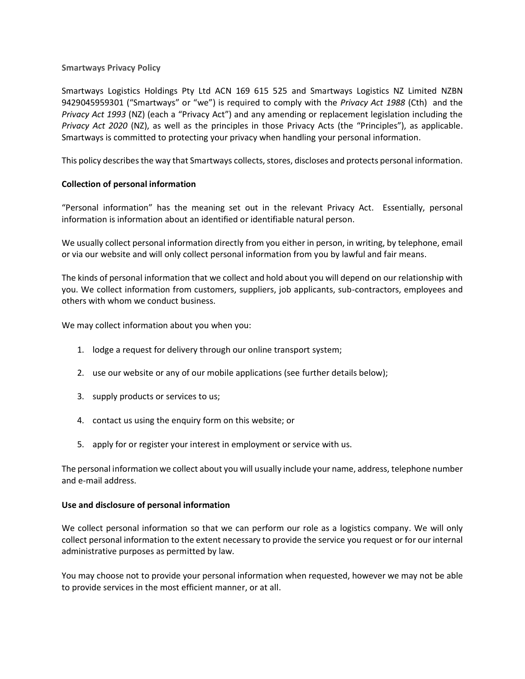### **Smartways Privacy Policy**

Smartways Logistics Holdings Pty Ltd ACN 169 615 525 and Smartways Logistics NZ Limited NZBN 9429045959301 ("Smartways" or "we") is required to comply with the *Privacy Act 1988* (Cth) and the *Privacy Act 1993* (NZ) (each a "Privacy Act") and any amending or replacement legislation including the *Privacy Act 2020* (NZ), as well as the principles in those Privacy Acts (the "Principles"), as applicable. Smartways is committed to protecting your privacy when handling your personal information.

This policy describes the way that Smartways collects, stores, discloses and protects personal information.

# **Collection of personal information**

"Personal information" has the meaning set out in the relevant Privacy Act. Essentially, personal information is information about an identified or identifiable natural person.

We usually collect personal information directly from you either in person, in writing, by telephone, email or via our website and will only collect personal information from you by lawful and fair means.

The kinds of personal information that we collect and hold about you will depend on our relationship with you. We collect information from customers, suppliers, job applicants, sub-contractors, employees and others with whom we conduct business.

We may collect information about you when you:

- 1. lodge a request for delivery through our online transport system;
- 2. use our website or any of our mobile applications (see further details below);
- 3. supply products or services to us;
- 4. contact us using the enquiry form on this website; or
- 5. apply for or register your interest in employment or service with us.

The personal information we collect about you will usually include your name, address, telephone number and e-mail address.

# **Use and disclosure of personal information**

We collect personal information so that we can perform our role as a logistics company. We will only collect personal information to the extent necessary to provide the service you request or for our internal administrative purposes as permitted by law.

You may choose not to provide your personal information when requested, however we may not be able to provide services in the most efficient manner, or at all.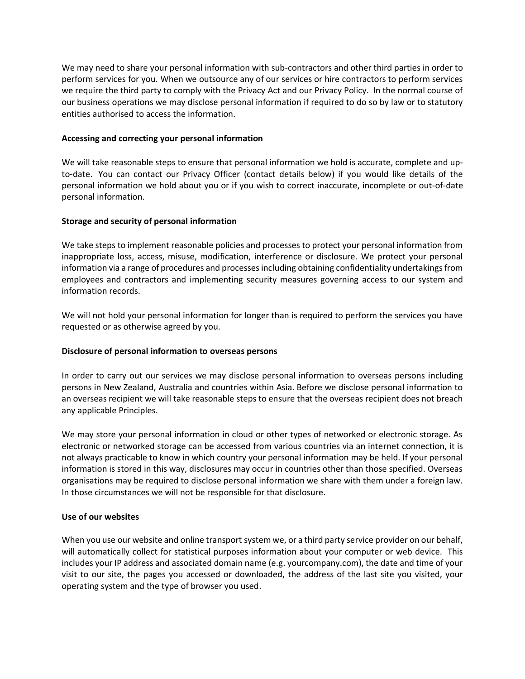We may need to share your personal information with sub-contractors and other third parties in order to perform services for you. When we outsource any of our services or hire contractors to perform services we require the third party to comply with the Privacy Act and our Privacy Policy. In the normal course of our business operations we may disclose personal information if required to do so by law or to statutory entities authorised to access the information.

# **Accessing and correcting your personal information**

We will take reasonable steps to ensure that personal information we hold is accurate, complete and upto-date. You can contact our Privacy Officer (contact details below) if you would like details of the personal information we hold about you or if you wish to correct inaccurate, incomplete or out-of-date personal information.

# **Storage and security of personal information**

We take steps to implement reasonable policies and processes to protect your personal information from inappropriate loss, access, misuse, modification, interference or disclosure. We protect your personal information via a range of procedures and processes including obtaining confidentiality undertakings from employees and contractors and implementing security measures governing access to our system and information records.

We will not hold your personal information for longer than is required to perform the services you have requested or as otherwise agreed by you.

# **Disclosure of personal information to overseas persons**

In order to carry out our services we may disclose personal information to overseas persons including persons in New Zealand, Australia and countries within Asia. Before we disclose personal information to an overseas recipient we will take reasonable steps to ensure that the overseas recipient does not breach any applicable Principles.

We may store your personal information in cloud or other types of networked or electronic storage. As electronic or networked storage can be accessed from various countries via an internet connection, it is not always practicable to know in which country your personal information may be held. If your personal information is stored in this way, disclosures may occur in countries other than those specified. Overseas organisations may be required to disclose personal information we share with them under a foreign law. In those circumstances we will not be responsible for that disclosure.

# **Use of our websites**

When you use our website and online transport system we, or a third party service provider on our behalf, will automatically collect for statistical purposes information about your computer or web device. This includes your IP address and associated domain name (e.g. yourcompany.com), the date and time of your visit to our site, the pages you accessed or downloaded, the address of the last site you visited, your operating system and the type of browser you used.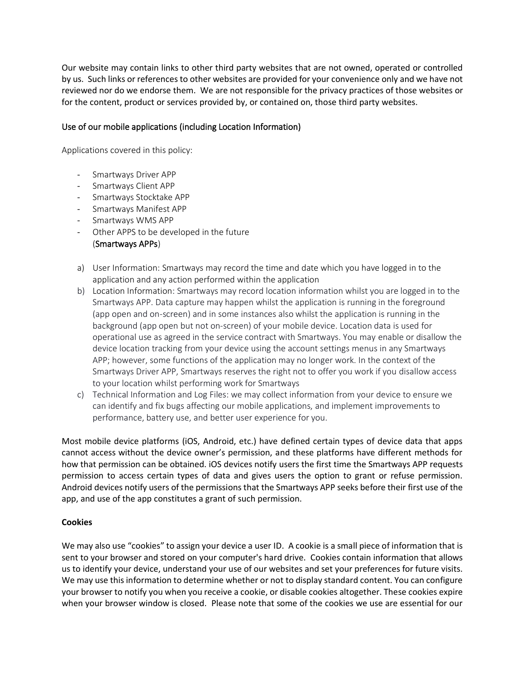Our website may contain links to other third party websites that are not owned, operated or controlled by us. Such links or references to other websites are provided for your convenience only and we have not reviewed nor do we endorse them. We are not responsible for the privacy practices of those websites or for the content, product or services provided by, or contained on, those third party websites.

# Use of our mobile applications (including Location Information)

Applications covered in this policy:

- Smartways Driver APP
- Smartways Client APP
- Smartways Stocktake APP
- Smartways Manifest APP
- Smartways WMS APP
- Other APPS to be developed in the future (Smartways APPs)
- a) User Information: Smartways may record the time and date which you have logged in to the application and any action performed within the application
- b) Location Information: Smartways may record location information whilst you are logged in to the Smartways APP. Data capture may happen whilst the application is running in the foreground (app open and on-screen) and in some instances also whilst the application is running in the background (app open but not on-screen) of your mobile device. Location data is used for operational use as agreed in the service contract with Smartways. You may enable or disallow the device location tracking from your device using the account settings menus in any Smartways APP; however, some functions of the application may no longer work. In the context of the Smartways Driver APP, Smartways reserves the right not to offer you work if you disallow access to your location whilst performing work for Smartways
- c) Technical Information and Log Files: we may collect information from your device to ensure we can identify and fix bugs affecting our mobile applications, and implement improvements to performance, battery use, and better user experience for you.

Most mobile device platforms (iOS, Android, etc.) have defined certain types of device data that apps cannot access without the device owner's permission, and these platforms have different methods for how that permission can be obtained. iOS devices notify users the first time the Smartways APP requests permission to access certain types of data and gives users the option to grant or refuse permission. Android devices notify users of the permissions that the Smartways APP seeks before their first use of the app, and use of the app constitutes a grant of such permission.

# **Cookies**

We may also use "cookies" to assign your device a user ID. A cookie is a small piece of information that is sent to your browser and stored on your computer's hard drive. Cookies contain information that allows us to identify your device, understand your use of our websites and set your preferences for future visits. We may use this information to determine whether or not to display standard content. You can configure your browser to notify you when you receive a cookie, or disable cookies altogether. These cookies expire when your browser window is closed. Please note that some of the cookies we use are essential for our